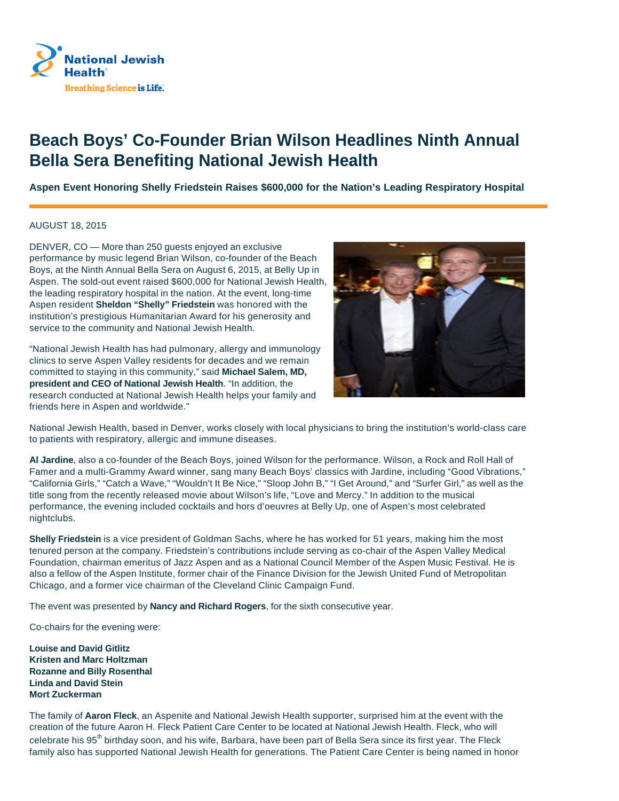

## **Beach Boys' Co-Founder Brian Wilson Headlines Ninth Annual Bella Sera Benefiting National Jewish Health**

**Aspen Event Honoring Shelly Friedstein Raises \$600,000 for the Nation's Leading Respiratory Hospital**

## AUGUST 18, 2015

DENVER, CO — More than 250 guests enjoyed an exclusive performance by music legend Brian Wilson, co-founder of the Beach Boys, at the Ninth Annual Bella Sera on August 6, 2015, at Belly Up in Aspen. The sold-out event raised \$600,000 for National Jewish Health, the leading respiratory hospital in the nation. At the event, long-time Aspen resident **Sheldon "Shelly" Friedstein** was honored with the institution's prestigious Humanitarian Award for his generosity and service to the community and National Jewish Health.

"National Jewish Health has had pulmonary, allergy and immunology clinics to serve Aspen Valley residents for decades and we remain committed to staying in this community," said **Michael Salem, MD, president and CEO of National Jewish Health**. "In addition, the research conducted at National Jewish Health helps your family and friends here in Aspen and worldwide."



National Jewish Health, based in Denver, works closely with local physicians to bring the institution's world-class care to patients with respiratory, allergic and immune diseases.

**Al Jardine**, also a co-founder of the Beach Boys, joined Wilson for the performance. Wilson, a Rock and Roll Hall of Famer and a multi-Grammy Award winner, sang many Beach Boys' classics with Jardine, including "Good Vibrations," "California Girls," "Catch a Wave," "Wouldn't It Be Nice," "Sloop John B," "I Get Around," and "Surfer Girl," as well as the title song from the recently released movie about Wilson's life, "Love and Mercy." In addition to the musical performance, the evening included cocktails and hors d'oeuvres at Belly Up, one of Aspen's most celebrated nightclubs.

**Shelly Friedstein** is a vice president of Goldman Sachs, where he has worked for 51 years, making him the most tenured person at the company. Friedstein's contributions include serving as co-chair of the Aspen Valley Medical Foundation, chairman emeritus of Jazz Aspen and as a National Council Member of the Aspen Music Festival. He is also a fellow of the Aspen Institute, former chair of the Finance Division for the Jewish United Fund of Metropolitan Chicago, and a former vice chairman of the Cleveland Clinic Campaign Fund.

The event was presented by **Nancy and Richard Rogers**, for the sixth consecutive year.

Co-chairs for the evening were:

**Louise and David Gitlitz Kristen and Marc Holtzman Rozanne and Billy Rosenthal Linda and David Stein Mort Zuckerman** 

The family of **Aaron Fleck**, an Aspenite and National Jewish Health supporter, surprised him at the event with the creation of the future Aaron H. Fleck Patient Care Center to be located at National Jewish Health. Fleck, who will celebrate his 95<sup>th</sup> birthday soon, and his wife, Barbara, have been part of Bella Sera since its first year. The Fleck family also has supported National Jewish Health for generations. The Patient Care Center is being named in honor